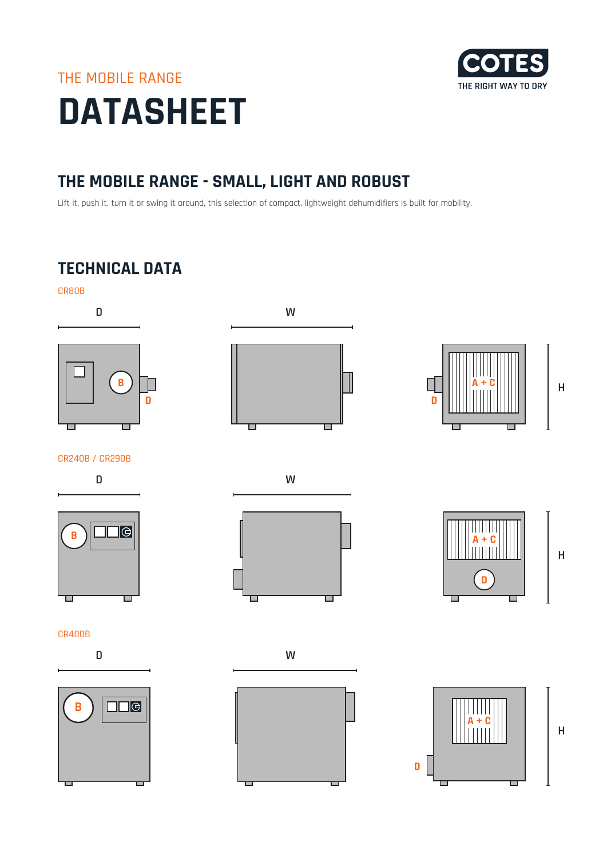# THE MOBILE RANGE **DATASHEET**



## **THE MOBILE RANGE - SMALL, LIGHT AND ROBUST**

Lift it, push it, turn it or swing it around, this selection of compact, lightweight dehumidifiers is built for mobility.

# **TECHNICAL DATA**